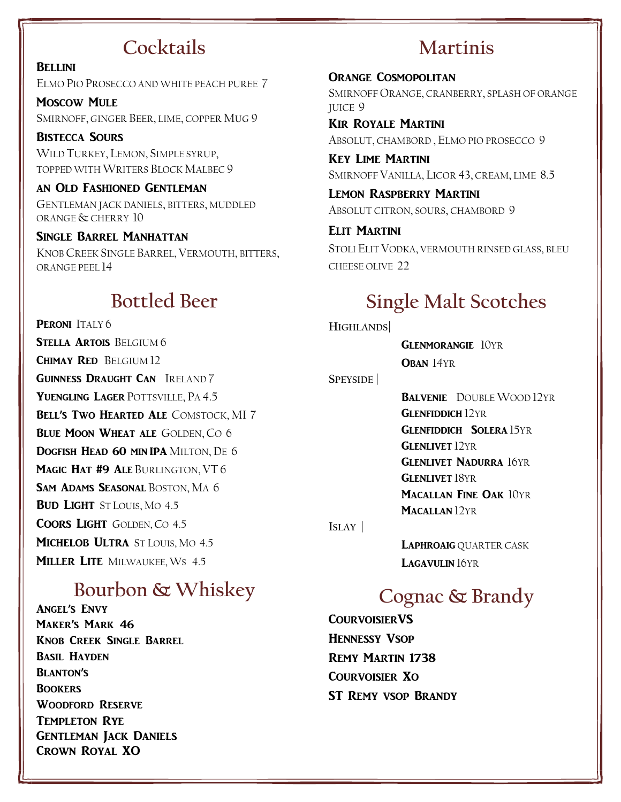## **Cocktails**

**BELLINI** ELMO PIO PROSECCO AND WHITE PEACH PUREE 7

MOSCOW MULE SMIRNOFF, GINGER BEER, LIME, COPPER MUG 9

BISTECCA SOURS WILD TURKEY, LEMON, SIMPLE SYRUP, TOPPED WITH WRITERS BLOCK MALBEC 9

AN OLD FASHIONED GENTLEMAN GENTLEMAN JACK DANIELS, BITTERS, MUDDLED ORANGE & CHERRY 10

SINGLE BARREL MANHATTAN KNOB CREEK SINGLE BARREL, VERMOUTH, BITTERS, ORANGE PEEL 14

## **Bottled Beer**

PERONI TALY6 STELLA ARTOIS BELGIUM 6 CHIMAY RED BELGIUM 12 GUINNESS DRAUGHT CAN IRELAND 7 YUENGLING LAGER POTTSVILLE, PA 4.5 BELL'S TWO HEARTED ALE COMSTOCK, MI 7 **BLUE MOON WHEAT ALE GOLDEN, CO 6** DOGFISH HEAD 60 MIN IPA MILTON, DE 6 MAGIC HAT #9 ALE BURLINGTON, VT 6 SAM ADAMS SEASONAL BOSTON, MA 6 **BUD LIGHT** ST LOUIS, MO 4.5 COORS LIGHT GOLDEN, CO 4.5 MICHELOB ULTRA ST LOUIS, MO 4.5 **MILLER LITE MILWAUKEE, WS 4.5** 

## **Bourbon & Whiskey**

Angel's Envy Maker's Mark 46 Knob Creek Single Barrel Basil Hayden Blanton's **BOOKERS** Woodford Reserve TEMPLETON RYE GENTLEMAN JACK DANIELS CROWN ROYAL XO

# **Martinis**

ORANGE COSMOPOLITAN SMIRNOFF ORANGE, CRANBERRY, SPLASH OF ORANGE JUICE 9

KIR ROYALE MARTINI ABSOLUT, CHAMBORD, ELMO PIO PROSECCO 9

KEY LIME MARTINI SMIRNOFF VANILLA, LICOR 43, CREAM, LIME 8.5

LEMON RASPBERRY MARTINI ABSOLUT CITRON, SOURS, CHAMBORD 9

ELIT MARTINI STOLI ELIT VODKA, VERMOUTH RINSED GLASS, BLEU CHEESE OLIVE 22

## **Single Malt Scotches**

**HIGHLANDS|**

GLENMORANGIE 10YR OBAN 14YR

**SPEYSIDE |**

BALVENIE DOUBLE WOOD 12YR **GLENFIDDICH 12YR GLENFIDDICH SOLERA 15YR GLENLIVET 12YR GLENLIVET NADURRA 16YR GLENLIVET 18YR** MACALLAN FINE OAK 10YR MACALLAN 12YR

**ISLAY |**

LAPHROAIG QUARTER CASK LAGAVULIN 16YR

## **Cognac & Brandy**

**COURVOISIERVS** HENNESSY VSOP REMY MARTIN 1738 COURVOISIER XO ST REMY VSOP BRANDY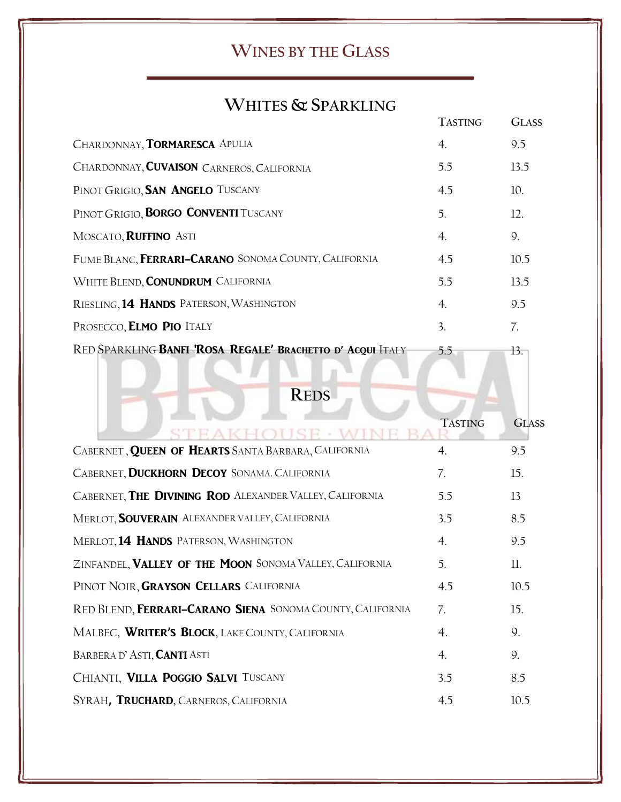### **WINES BY THE GLASS**

## **WHITES & SPARKLING**

|                                                            | <b>TASTING</b> | <b>GLASS</b> |
|------------------------------------------------------------|----------------|--------------|
| CHARDONNAY, TORMARESCA APULIA                              | 4.             | 9.5          |
| CHARDONNAY, CUVAISON CARNEROS, CALIFORNIA                  | 5.5            | 13.5         |
| PINOT GRIGIO, SAN ANGELO TUSCANY                           | 4.5            | 10.          |
| PINOT GRIGIO, <b>BORGO CONVENTI</b> TUSCANY                | 5.             | 12.          |
| MOSCATO, <b>RUFFINO</b> ASTI                               | 4.             | 9.           |
| FUME BLANC, FERRARI-CARANO SONOMA COUNTY, CALIFORNIA       | 4.5            | 10.5         |
| WHITE BLEND, CONUNDRUM CALIFORNIA                          | 5.5            | 13.5         |
| RIESLING, 14 HANDS PATERSON, WASHINGTON                    | 4.             | 9.5          |
| PROSECCO, ELMO PIO ITALY                                   | 3.             | 7.           |
| RED SPARKLING BANFI 'ROSA REGALE' BRACHETTO D' ACQUI ITALY | 5.5            | 13.          |

**REDS**

vi.

 $\sim$ 

|                                                           | <b>TASTING</b>   | <b>GLASS</b> |
|-----------------------------------------------------------|------------------|--------------|
| CABERNET, QUEEN OF HEARTS SANTA BARBARA, CALIFORNIA       | $\overline{4}$ . | 9.5          |
| CABERNET, DUCKHORN DECOY SONAMA. CALIFORNIA               | 7.               | 15.          |
| CABERNET, THE DIVINING ROD ALEXANDER VALLEY, CALIFORNIA   | 5.5              | 13           |
| MERLOT, <b>SOUVERAIN</b> ALEXANDER VALLEY, CALIFORNIA     | 3.5              | 8.5          |
| MERLOT, 14 HANDS PATERSON, WASHINGTON                     | 4.               | 9.5          |
| ZINFANDEL, VALLEY OF THE MOON SONOMA VALLEY, CALIFORNIA   | 5.               | 11.          |
| PINOT NOIR, GRAYSON CELLARS CALIFORNIA                    | 4.5              | 10.5         |
| RED BLEND, FERRARI-CARANO SIENA SONOMA COUNTY, CALIFORNIA | 7.               | 15.          |
| MALBEC, WRITER'S BLOCK, LAKE COUNTY, CALIFORNIA           | $\overline{4}$ . | 9.           |
| BARBERA D'ASTI, CANTI ASTI                                | 4.               | 9.           |
| CHIANTI, VILLA POGGIO SALVI TUSCANY                       | 3.5              | 8.5          |
| SYRAH, TRUCHARD, CARNEROS, CALIFORNIA                     | 4.5              | 10.5         |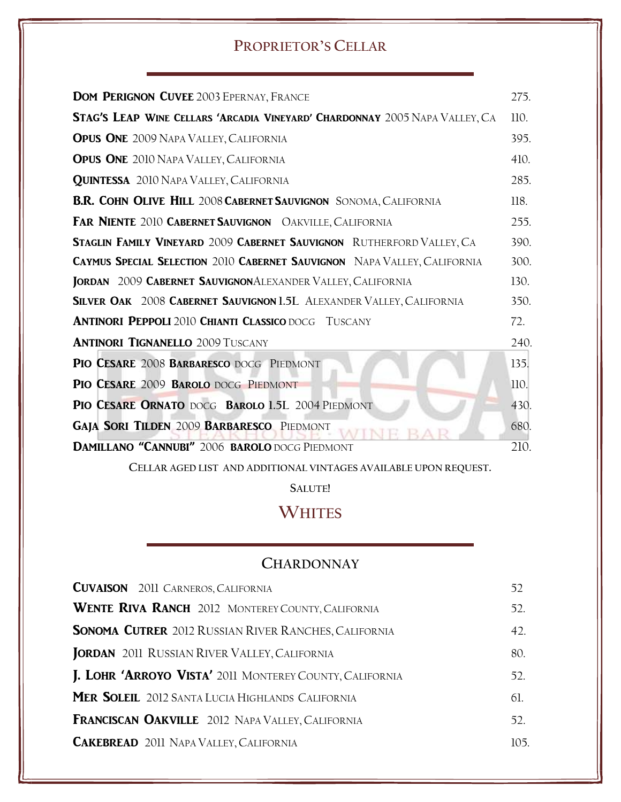#### **PROPRIETOR'S CELLAR**

| <b>DOM PERIGNON CUVEE 2003 EPERNAY, FRANCE</b>                                     | 275.        |
|------------------------------------------------------------------------------------|-------------|
| <b>STAG'S LEAP WINE CELLARS 'ARCADIA VINEYARD' CHARDONNAY</b> 2005 NAPA VALLEY, CA | <b>110.</b> |
| <b>OPUS ONE 2009 NAPA VALLEY, CALIFORNIA</b>                                       | 395.        |
| <b>OPUS ONE 2010 NAPA VALLEY, CALIFORNIA</b>                                       | 410.        |
| <b>QUINTESSA</b> 2010 NAPA VALLEY, CALIFORNIA                                      | 285.        |
| <b>B.R. COHN OLIVE HILL 2008 CABERNET SAUVIGNON</b> SONOMA, CALIFORNIA             | 118.        |
| <b>FAR NIENTE 2010 CABERNET SAUVIGNON</b> OAKVILLE, CALIFORNIA                     | 255.        |
| STAGLIN FAMILY VINEYARD 2009 CABERNET SAUVIGNON RUTHERFORD VALLEY, CA              | 390.        |
| <b>CAYMUS SPECIAL SELECTION 2010 CABERNET SAUVIGNON</b> NAPA VALLEY, CALIFORNIA    | 300.        |
| JORDAN 2009 CABERNET SAUVIGNONALEXANDER VALLEY, CALIFORNIA                         | 130.        |
| SILVER OAK 2008 CABERNET SAUVIGNON 1.5L ALEXANDER VALLEY, CALIFORNIA               | 350.        |
| <b>ANTINORI PEPPOLI 2010 CHIANTI CLASSICO DOCG TUSCANY</b>                         | 72.         |
| <b>ANTINORI TIGNANELLO 2009 TUSCANY</b>                                            | 240.        |
| PIO CESARE 2008 BARBARESCO DOCG PIEDMONT                                           | 135.        |
| PIO CESARE 2009 BAROLO DOCG PIEDMONT                                               | 110.        |
| PIO CESARE ORNATO DOCG BAROLO 1.5L 2004 PIEDMONT                                   | 430.        |
| <b>GAJA SORI TILDEN 2009 BARBARESCO PIEDMONT</b>                                   | 680.        |
| <b>DAMILLANO "CANNUBI" 2006 BAROLO DOCG PIEDMONT</b>                               | 210.        |

**CELLAR AGED LIST AND ADDITIONAL VINTAGES AVAILABLE UPON REQUEST.**

**SALUTE!**

### **WHITES**

#### **CHARDONNAY**

| 52  |
|-----|
| 52. |
| 42. |
| 80. |
| 52. |
| 61. |
| 52. |
| 105 |
|     |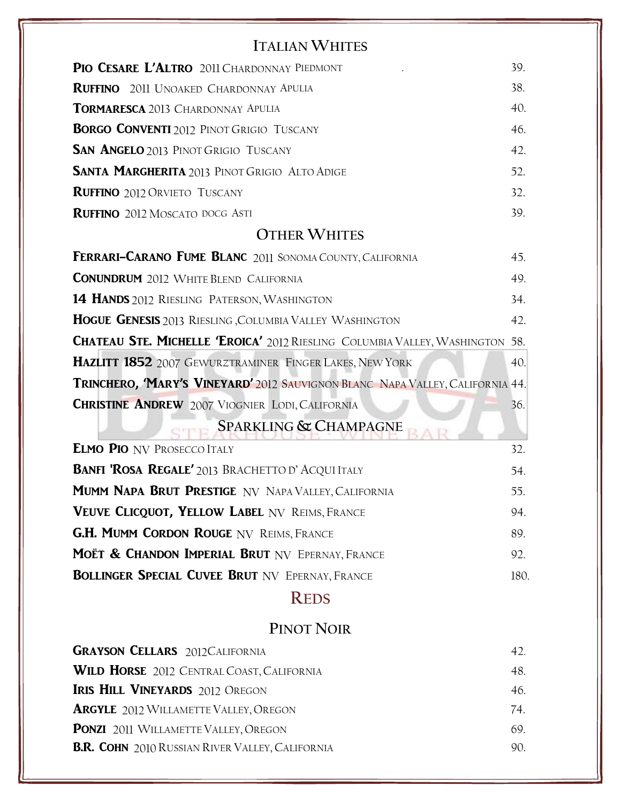### **ITALIAN WHITES**

| PIO CESARE L'ALTRO 2011 CHARDONNAY PIEDMONT                                          | 39.  |
|--------------------------------------------------------------------------------------|------|
| <b>RUFFINO</b> 2011 UNOAKED CHARDONNAY APULIA                                        | 38.  |
| <b>TORMARESCA 2013 CHARDONNAY APULIA</b>                                             | 40.  |
| <b>BORGO CONVENTI</b> 2012 PINOT GRIGIO TUSCANY                                      | 46.  |
| <b>SAN ANGELO</b> 2013 PINOT GRIGIO TUSCANY                                          | 42.  |
| <b>SANTA MARGHERITA</b> 2013 PINOT GRIGIO ALTO ADIGE                                 | 52.  |
| <b>RUFFINO</b> 2012 ORVIETO TUSCANY                                                  | 32.  |
| <b>RUFFINO</b> 2012 MOSCATO DOCG ASTI                                                | 39.  |
| <b>OTHER WHITES</b>                                                                  |      |
| <b>FERRARI-CARANO FUME BLANC 2011 SONOMA COUNTY, CALIFORNIA</b>                      | 45.  |
| <b>CONUNDRUM</b> 2012 WHITE BLEND CALIFORNIA                                         | 49.  |
| <b>14 HANDS</b> 2012 RIESLING PATERSON, WASHINGTON                                   | 34.  |
| <b>HOGUE GENESIS</b> 2013 RIESLING, COLUMBIA VALLEY WASHINGTON                       | 42.  |
| <b>CHATEAU STE. MICHELLE 'EROICA' 2012 RIESLING COLUMBIA VALLEY, WASHINGTON 58.</b>  |      |
| <b>HAZLITT 1852</b> 2007 GEWURZTRAMINER FINGER LAKES, NEW YORK                       | 40.  |
| <b>TRINCHERO, 'MARY'S VINEYARD'</b> 2012 SAUVIGNON BLANC NAPA VALLEY, CALIFORNIA 44. |      |
| <b>CHRISTINE ANDREW</b> 2007 VIOGNIER LODI, CALIFORNIA                               | 36.  |
| <b>SPARKLING &amp; CHAMPAGNE</b>                                                     |      |
| <b>ELMO PIO NV PROSECCO ITALY</b>                                                    | 32.  |
| <b>BANFI 'ROSA REGALE' 2013 BRACHETTO D' ACQUI ITALY</b>                             | 54.  |
| <b>MUMM NAPA BRUT PRESTIGE NV NAPA VALLEY, CALIFORNIA</b>                            | 55.  |
| VEUVE CLICQUOT, YELLOW LABEL NV REIMS, FRANCE                                        | 94.  |
| <b>G.H. MUMM CORDON ROUGE NV REIMS, FRANCE</b>                                       | 89.  |
| MOËT & CHANDON IMPERIAL BRUT NV EPERNAY, FRANCE                                      | 92.  |
| <b>BOLLINGER SPECIAL CUVEE BRUT NV EPERNAY, FRANCE</b>                               | 180. |
| <b>REDS</b>                                                                          |      |
|                                                                                      |      |

### **PINOT NOIR**

| 42. |
|-----|
| 48. |
| 46. |
| 74. |
| 69. |
| 90. |
|     |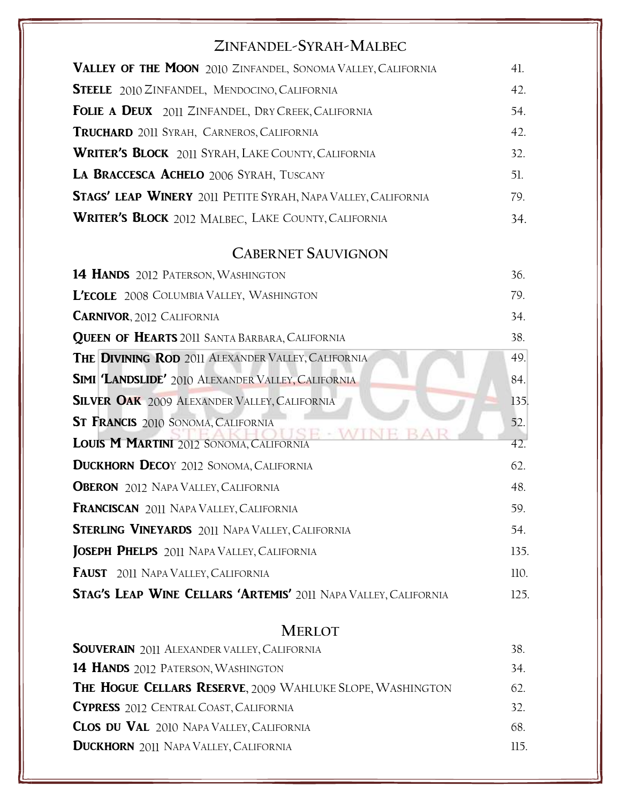### **ZINFANDEL-SYRAH-MALBEC**

| VALLEY OF THE MOON 2010 ZINFANDEL, SONOMA VALLEY, CALIFORNIA         | 41. |
|----------------------------------------------------------------------|-----|
| <b>STEELE</b> 2010 ZINFANDEL, MENDOCINO, CALIFORNIA                  | 42. |
| <b>FOLIE A DEUX</b> 2011 ZINFANDEL, DRY CREEK, CALIFORNIA            | 54. |
| TRUCHARD 2011 SYRAH, CARNEROS, CALIFORNIA                            | 42. |
| <b>WRITER'S BLOCK</b> 2011 SYRAH, LAKE COUNTY, CALIFORNIA            | 32. |
| LA BRACCESCA ACHELO 2006 SYRAH, TUSCANY                              | 51. |
| <b>STAGS' LEAP WINERY</b> 2011 PETITE SYRAH, NAPA VALLEY, CALIFORNIA | 79. |
| <b>WRITER'S BLOCK</b> 2012 MALBEC, LAKE COUNTY, CALIFORNIA           | 34. |

### **CABERNET SAUVIGNON**

| <b>14 HANDS</b> 2012 PATERSON, WASHINGTON                              | 36.  |
|------------------------------------------------------------------------|------|
| L'ECOLE 2008 COLUMBIA VALLEY, WASHINGTON                               | 79.  |
| <b>CARNIVOR, 2012 CALIFORNIA</b>                                       | 34.  |
| <b>QUEEN OF HEARTS</b> 2011 SANTA BARBARA, CALIFORNIA                  | 38.  |
| <b>THE DIVINING ROD 2011 ALEXANDER VALLEY, CALIFORNIA</b>              | 49.  |
| <b>SIMI 'LANDSLIDE'</b> 2010 ALEXANDER VALLEY, CALIFORNIA              | 84.  |
| <b>SILVER OAK</b> 2009 ALEXANDER VALLEY, CALIFORNIA                    | 135. |
| <b>ST FRANCIS</b> 2010 SONOMA, CALIFORNIA                              | 52.  |
| LOUIS M MARTINI 2012 SONOMA, CALIFORNIA                                | 42.  |
| <b>DUCKHORN DECOY 2012 SONOMA, CALIFORNIA</b>                          | 62.  |
| <b>OBERON</b> 2012 NAPA VALLEY, CALIFORNIA                             | 48.  |
| <b>FRANCISCAN</b> 2011 NAPA VALLEY, CALIFORNIA                         | 59.  |
| <b>STERLING VINEYARDS</b> 2011 NAPA VALLEY, CALIFORNIA                 | 54.  |
| JOSEPH PHELPS 2011 NAPA VALLEY, CALIFORNIA                             | 135. |
| <b>FAUST</b> 2011 NAPA VALLEY, CALIFORNIA                              | 110. |
| <b>STAG'S LEAP WINE CELLARS 'ARTEMIS' 2011 NAPA VALLEY, CALIFORNIA</b> | 125. |

### **MERLOT**

| <b>SOUVERAIN</b> 2011 ALEXANDER VALLEY, CALIFORNIA        | 38. |
|-----------------------------------------------------------|-----|
| <b>14 HANDS</b> 2012 PATERSON, WASHINGTON                 | 34. |
| THE HOGUE CELLARS RESERVE, 2009 WAHLUKE SLOPE, WASHINGTON | 62. |
| <b>CYPRESS</b> 2012 CENTRAL COAST, CALIFORNIA             | 32  |
| <b>CLOS DU VAL</b> 2010 NAPA VALLEY, CALIFORNIA           | 68. |
| <b>DUCKHORN</b> 2011 NAPA VALLEY, CALIFORNIA              | 115 |
|                                                           |     |